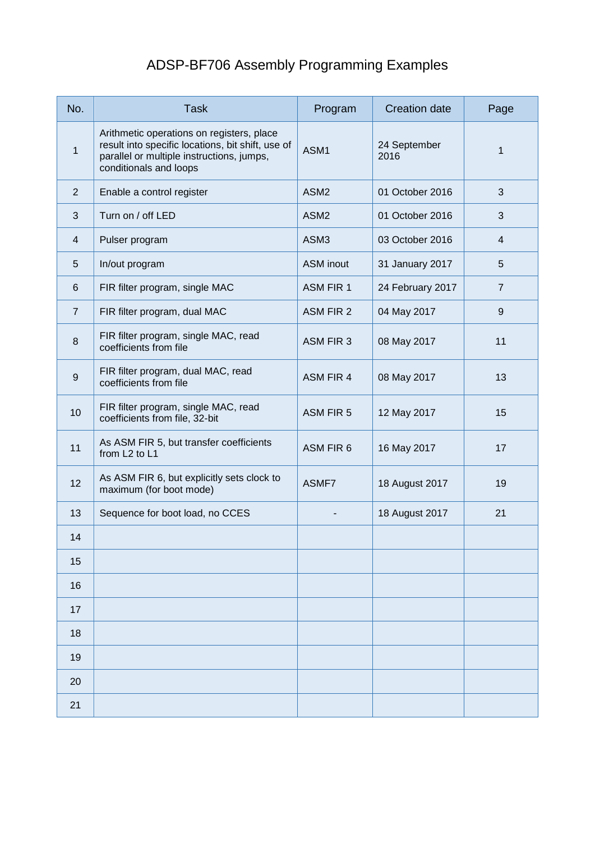## ADSP-BF706 Assembly Programming Examples

| No.            | <b>Task</b>                                                                                                                                                           | Program          | <b>Creation date</b> | Page           |
|----------------|-----------------------------------------------------------------------------------------------------------------------------------------------------------------------|------------------|----------------------|----------------|
| 1              | Arithmetic operations on registers, place<br>result into specific locations, bit shift, use of<br>parallel or multiple instructions, jumps,<br>conditionals and loops | ASM1             | 24 September<br>2016 | 1              |
| $\overline{2}$ | Enable a control register                                                                                                                                             | ASM <sub>2</sub> | 01 October 2016      | 3              |
| 3              | Turn on / off LED                                                                                                                                                     | ASM <sub>2</sub> | 01 October 2016      | 3              |
| $\overline{4}$ | Pulser program                                                                                                                                                        | ASM3             | 03 October 2016      | 4              |
| 5              | In/out program                                                                                                                                                        | <b>ASM</b> inout | 31 January 2017      | 5              |
| 6              | FIR filter program, single MAC                                                                                                                                        | ASM FIR 1        | 24 February 2017     | $\overline{7}$ |
| $\overline{7}$ | FIR filter program, dual MAC                                                                                                                                          | ASM FIR 2        | 04 May 2017          | 9              |
| 8              | FIR filter program, single MAC, read<br>coefficients from file                                                                                                        | <b>ASM FIR 3</b> | 08 May 2017          | 11             |
| 9              | FIR filter program, dual MAC, read<br>coefficients from file                                                                                                          | <b>ASM FIR 4</b> | 08 May 2017          | 13             |
| 10             | FIR filter program, single MAC, read<br>coefficients from file, 32-bit                                                                                                | <b>ASM FIR 5</b> | 12 May 2017          | 15             |
| 11             | As ASM FIR 5, but transfer coefficients<br>from L <sub>2</sub> to L <sub>1</sub>                                                                                      | ASM FIR 6        | 16 May 2017          | 17             |
| 12             | As ASM FIR 6, but explicitly sets clock to<br>maximum (for boot mode)                                                                                                 | ASMF7            | 18 August 2017       | 19             |
| 13             | Sequence for boot load, no CCES                                                                                                                                       |                  | 18 August 2017       | 21             |
| 14             |                                                                                                                                                                       |                  |                      |                |
| 15             |                                                                                                                                                                       |                  |                      |                |
| 16             |                                                                                                                                                                       |                  |                      |                |
| 17             |                                                                                                                                                                       |                  |                      |                |
| 18             |                                                                                                                                                                       |                  |                      |                |
| 19             |                                                                                                                                                                       |                  |                      |                |
| 20             |                                                                                                                                                                       |                  |                      |                |
| 21             |                                                                                                                                                                       |                  |                      |                |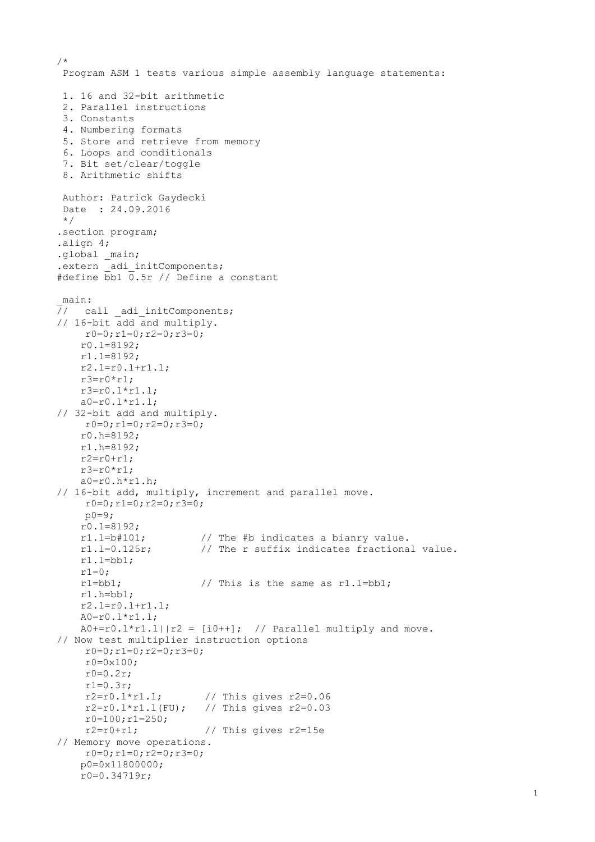```
/*
 Program ASM 1 tests various simple assembly language statements:
 1. 16 and 32-bit arithmetic
 2. Parallel instructions
 3. Constants
 4. Numbering formats
 5. Store and retrieve from memory
 6. Loops and conditionals
 7. Bit set/clear/toggle
 8. Arithmetic shifts
Author: Patrick Gaydecki
Date : 24.09.2016
*/
.section program;
.align 4;
.global _main;
.extern adi initComponents;
#define bb1 0.5r // Define a constant
_main:
\overline{7}/ call adi initComponents;
// 16-bit add and multiply. 
    r0=0; r1=0; r2=0; r3=0; r0.l=8192;
    r1.l=8192;
    r2.l=r0.l+r1.l; 
    r3=r0*r1:
     r3=r0.l*r1.l;
   a0 = r0.1*r1.1;
// 32-bit add and multiply. 
    r0=0; r1=0; r2=0; r3=0; r0.h=8192;
     r1.h=8192;
    r2=r0+r1;r3=r0*r1;a0=r0.h*r1.h;// 16-bit add, multiply, increment and parallel move. 
    r0=0; r1=0; r2=0; r3=0;p0=9; r0.l=8192;
     r1.l=b#101; // The #b indicates a bianry value.
     r1.l=0.125r; // The r suffix indicates fractional value.
    r1.l=bb1;r1=0; r1=bb1; // This is the same as r1.l=bb1;
     r1.h=bb1;
     r2.l=r0.l+r1.l;
     A0=r0.l*r1.l;
    A0+=r0.1*r1.1||r2 = [i0++]; // Parallel multiply and move.
// Now test multiplier instruction options
    r0=0; r1=0; r2=0; r3=0;r0=0x100;
    r0=0.2r;r1=0.3r;
    r2=r0.l*r1.l; // This gives r2=0.06
    r2 = r0.1 * r1.1 (FU); // This gives r2 = 0.03r0=100; r1=250;<br>r2=r0+r1;// This gives r2=15e// Memory move operations.
    r0=0;r1=0;r2=0;r3=0;
     p0=0x11800000; 
     r0=0.34719r;
```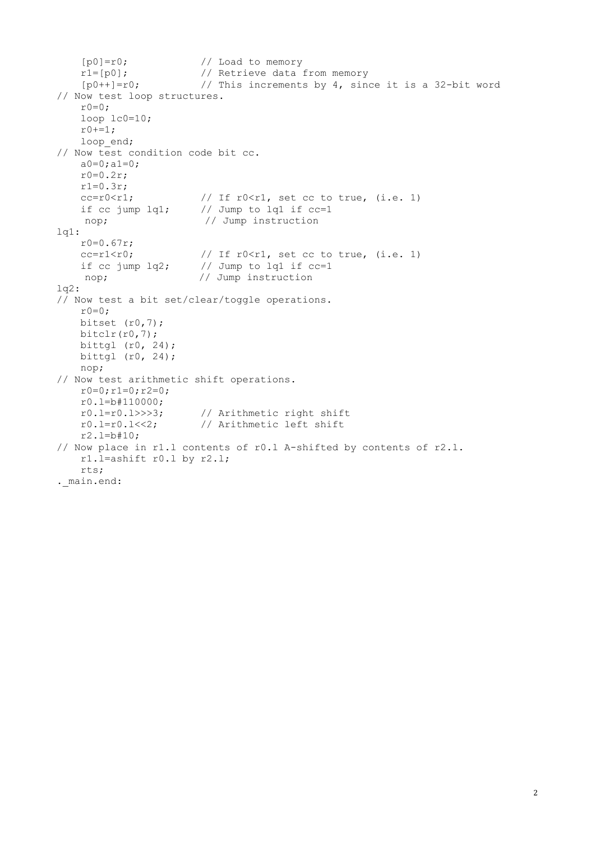```
[p0]=r0; // Load to memory
    r1=[p0]; // Retrieve data from memory
   [p0++]=r0; // This increments by 4, since it is a 32-bit word.// Now test loop structures.
   r0=0:
    loop lc0=10;
   r0+-1;loop end;
// Now test condition code bit cc.
   a0=0; a1=0;r0=0.2r;r1=0.3r;cc=r0\leq r1; // If r0\leq r1, set cc to true, (i.e. 1) if cc jump lq1; // Jump to lq1 if cc=1 
   nop; \frac{1}{2} // Jump instruction
lq1:
    r0=0.67r;
   cc=r1\le r0; // If r0\le r1, set cc to true, (i.e. 1)
   if cc jump lq2; // Jump to lq1 if cc=1nop; \frac{1}{2} Jump instruction
log2:// Now test a bit set/clear/toggle operations.
   r0=0;
   bitset (r0, 7);
   bitclr(r0,7);bittgl ( r0, 24); bittgl (r0, 24); 
    nop;
// Now test arithmetic shift operations.
   r0=0:r1=0:r2=0; r0.l=b#110000;
    r0.l=r0.l>>>3; // Arithmetic right shift
    r0.l=r0.l<<2; // Arithmetic left shift
    r2.l=b#10;
// Now place in r1.l contents of r0.l A-shifted by contents of r2.l.
    r1.l=ashift r0.l by r2.l;
    rts;
. main.end:
```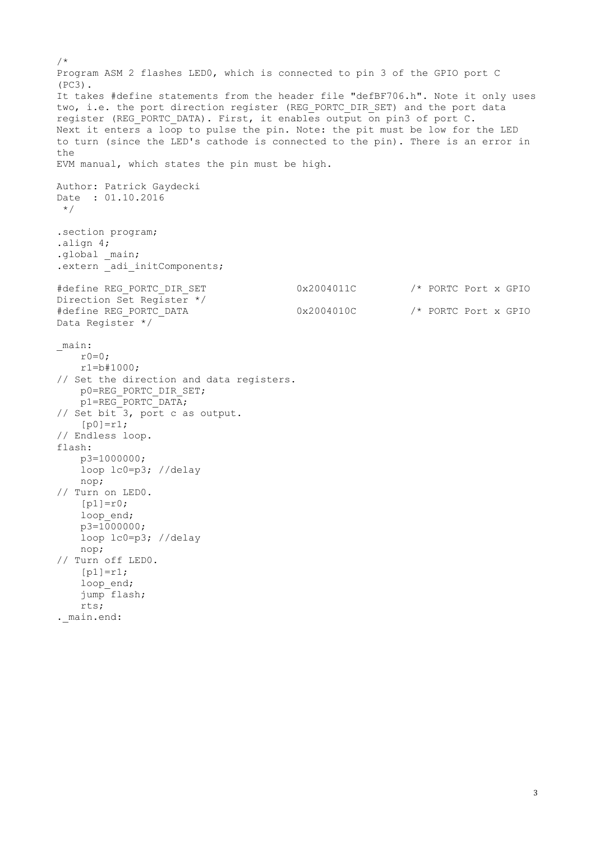/\* Program ASM 2 flashes LED0, which is connected to pin 3 of the GPIO port C (PC3). It takes #define statements from the header file "defBF706.h". Note it only uses two, i.e. the port direction register (REG PORTC DIR SET) and the port data register (REG PORTC DATA). First, it enables output on pin3 of port C. Next it enters a loop to pulse the pin. Note: the pit must be low for the LED to turn (since the LED's cathode is connected to the pin). There is an error in the EVM manual, which states the pin must be high. Author: Patrick Gaydecki Date : 01.10.2016  $\star$  / .section program; .align 4; .global \_main; .extern adi initComponents; #define REG\_PORTC\_DIR\_SET  $0x2004011C$  /\* PORTC Port x GPIO Direction Set Register \*/ #define REG\_PORTC\_DATA  $0x2004010C$  /\* PORTC Port x GPIO Data Register \*/ \_main:  $r0=0;$  r1=b#1000; // Set the direction and data registers. p0=REG\_PORTC\_DIR\_SET; p1=REG\_PORTC\_DATA; // Set bit 3, port c as output.  $[p0]=r1;$ // Endless loop. flash: p3=1000000; loop lc0=p3; //delay nop; // Turn on LED0.  $[p1]=r0;$ loop\_end;  $p3=1000000;$  loop lc0=p3; //delay nop; // Turn off LED0.  $[p1]=r1;$ loop end; jump flash; rts; . main.end: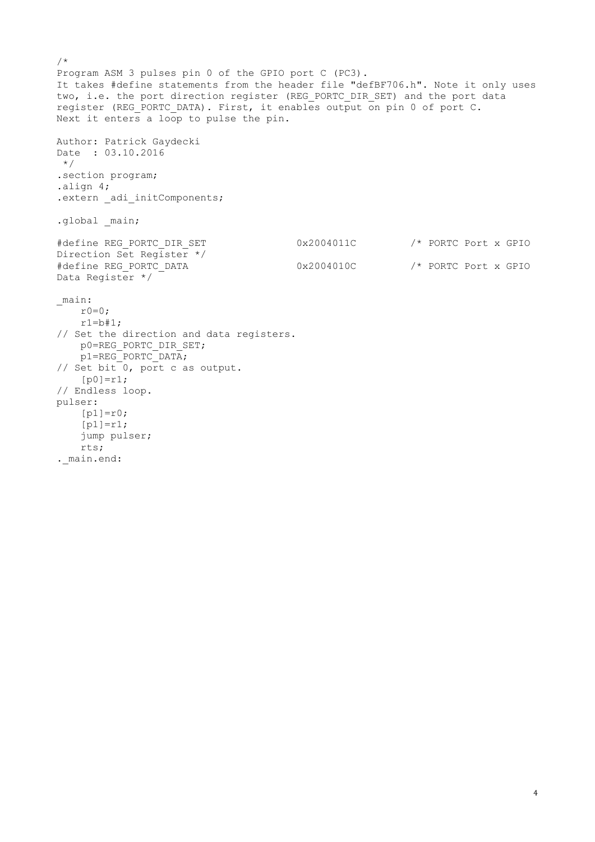```
/*
Program ASM 3 pulses pin 0 of the GPIO port C (PC3).
It takes #define statements from the header file "defBF706.h". Note it only uses
two, i.e. the port direction register (REG PORTC DIR SET) and the port data
register (REG PORTC DATA). First, it enables output on pin 0 of port C.
Next it enters a loop to pulse the pin.
Author: Patrick Gaydecki
Date : 03.10.2016
\star /
.section program;
.align 4;
.extern adi initComponents;
.global main;
#define REG_PORTC_DIR_SET 0x2004011C /* PORTC Port x GPIO
Direction Set Register */
#define REG_PORTC_DATA 0x2004010C /* PORTC Port x GPIO 
Data Register */
_main:
   r0=0;
   r1=b#1;// Set the direction and data registers.
    p0=REG_PORTC_DIR_SET;
    p1=REG_PORTC_DATA;
// Set bit 0, port c as output.
   [p0]=r1;// Endless loop.
pulser:
   [p1]=r0;[p1]=r1; jump pulser;
    rts;
. main.end:
```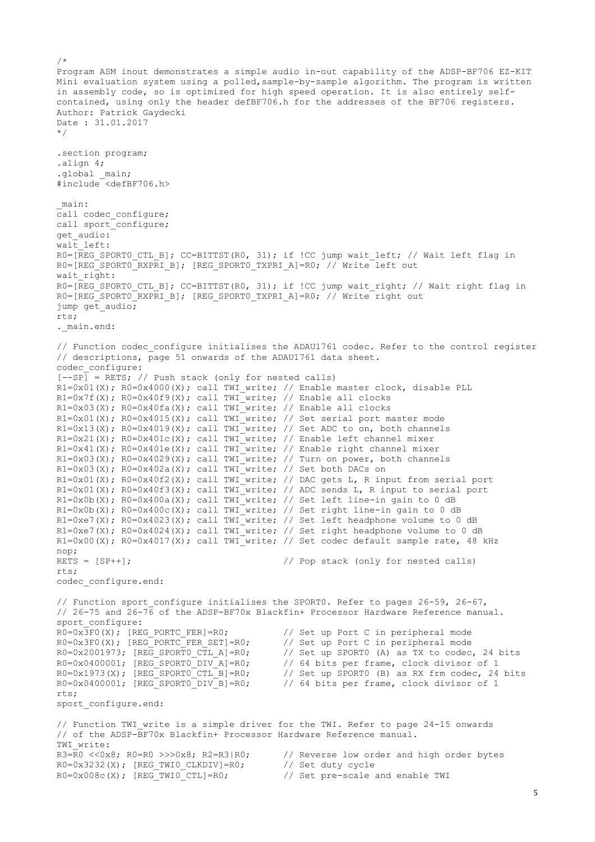```
/*
Program ASM inout demonstrates a simple audio in-out capability of the ADSP-BF706 EZ-KIT 
Mini evaluation system using a polled, sample-by-sample algorithm. The program is written
in assembly code, so is optimized for high speed operation. It is also entirely self-
contained, using only the header defBF706.h for the addresses of the BF706 registers.
Author: Patrick Gaydecki
Date : 31.01.2017
*/
.section program;
.align 4;
.global main;
#include <defBF706.h>
_main:
call codec_configure;
call sport_configure;
get audio:
\bar{v} vait left:
R0=[REG SPORT0 CTL B]; CC=BITTST(R0, 31); if !CC jump wait left; // Wait left flag in
R0=[REG SPORT0 RXPRI B]; [REG SPORT0 TXPRI A]=R0; // Write left out
wait right:
R0=[REG_SPORT0_CTL_B]; CC=BITTST(R0, 31); if !CC jump wait right; // Wait right flag in
R0=[REG_SPORT0_RXPRI_B]; [REG_SPORT0_TXPRI_A]=R0; // Write right out
jump get audio;
rts;
._main.end:
// Function codec configure initialises the ADAU1761 codec. Refer to the control register
// descriptions, page 51 onwards of the ADAU1761 data sheet.
codec_configure:
[--SP] = RETS; // Push stack (only for nested calls)
R1=0x01(X); R0=0x4000(X); call TWI write; // Enable master clock, disable PLLR1=0x7f(X); R0=0x40f9(X); call TWI write; // Enable all clocks
R1=0x03(X); R0=0x40fa(X); call TWI_write; // Enable all clocks
R1=0x01(X); R0=0x4015(X); call TWI write; // Set serial port master mode
R1=0x13(X); R0=0x4019(X); call TWI_write; // Set ADC to on, both channels
R1=0x21(X); R0=0x401c(X); call TWI write; // Enable left channel mixer
R1=0x41(X); R0=0x401e(X); call TWI write; // Enable right channel mixer
R1=0x03(X); R0=0x4029(X); call TWI write; // Turn on power, both channels
R1=0x03(X); R0=0x402a(X); call TWI_write; // Set both DACs on
R1=0x01(X); R0=0x40f2(X); call TWI<sup>-</sup>write; // DAC gets L, R input from serial port
R1=0x01(X); R0=0x40f3(X); call TWI_write; // ADC sends L, R input to serial port
R1=0x0b(X); R0=0x400a(X); call TWI write; // Set left line-in gain to 0 dB
R1=0x0b(X); R0=0x400c(X); call TWI write; // Set right line-in gain to 0 dB
R1=0xe7(X); R0=0x4023(X); call TWI_write; // Set left headphone volume to 0 dB
R1=0xe7(X); R0=0x4024(X); call TWI<sup>-</sup>write; // Set right headphone volume to 0 dB
R1=0x00(X); R0=0x4017(X); call TWI write; // Set codec default sample rate, 48 kHz
nop;
RETS = [SP++]; \frac{1}{2} // Pop stack (only for nested calls)
rts;
codec_configure.end:
// Function sport_configure initialises the SPORT0. Refer to pages 26-59, 26-67,
// 26-75 and 26-76 of the ADSP-BF70x Blackfin+ Processor Hardware Reference manual.
sport_{configure:}<br>R0=0x3F0(X); [REG PORTC FER]=R0;
                                             // Set up Port C in peripheral mode
R0=0x3F0(X); [REG\_PORTC\_FER\_SET]=R0; // Set up Port C in peripheral mode R0=0x2001973; [REG\_SPORTO CTL A]=R0; // Set up SPORT0 (A) as TX to codec,
R0=0x2001973; [REG_SPORTO_CTL_A]=R0; // Set up SPORTO (A) as TX to codec, 24 bits<br>R0=0x0400001; [REG_SPORTO_DIV_A]=R0; // 64 bits per frame, clock divisor of 1<br>R0=0x1973(X); [REG_SPORTO_CTL_B]=R0; // Set up SPORTO (B) as 
                                             // 64 bits per frame, clock divisor of 1
R0=0x1973(X); [REG SPORT0 CTL B]=R0; // Set up SPORT0 (B) as RX frm codec, 24 bits
R0=0x0400001; [REG SPORT0 DIV B]=R0; // 64 bits per frame, clock divisor of 1
rts;
sport_configure.end:
// Function TWI write is a simple driver for the TWI. Refer to page 24-15 onwards
// of the ADSP-BF70x Blackfin+ Processor Hardware Reference manual.
TWI write:
R3=R0 <<0x8; R0=R0 >>>0x8; R2=R3|R0; // Reverse low order and high order bytes
R0=0x3232(X); [REG_TWI0_CLKDIV]=R0; // Set duty cycle
R0=0x008c(X); [REG_TWI0_CTL]=R0; // Set pre-scale and enable TWI
```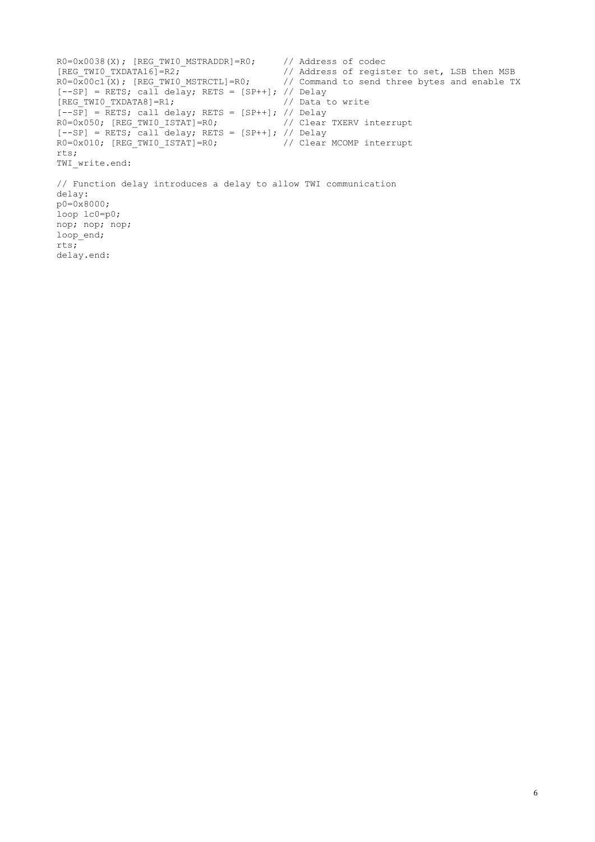```
R0=0x0038(X); [REG_TWIO_MSTRADDR]=R0; // Address of codec [REG_TWIO_TXDATA16]=R2; // Address of regist
                                          // Address of register to set, LSB then MSB
R0=0x00c1(X); [REG TWI0 MSTRCTL]=R0; // Command to send three bytes and enable TX
[--SP] = RETS; call delay; RETS = [SP++]; // Delay
[REG_TWI0_TXDATA8]=R1; // Data to write
[--SP] = RETS; call delay; RETS = [SP++]; // Delay
R0=0x050; [REG_TWI0_ISTAT]=R0; // Clear TXERV interrupt
[--SP] = RETS; call delay; RETS = [SP++]; // Delay
R0=0x010; [REG_TWI0_ISTAT]=R0; // Clear MCOMP interrupt
rts;
TWI_write.end:
// Function delay introduces a delay to allow TWI communication
delay:
p0=0x8000;
loop lc0=p0;
nop; nop; nop;
loop end;
rts;
delay.end:
```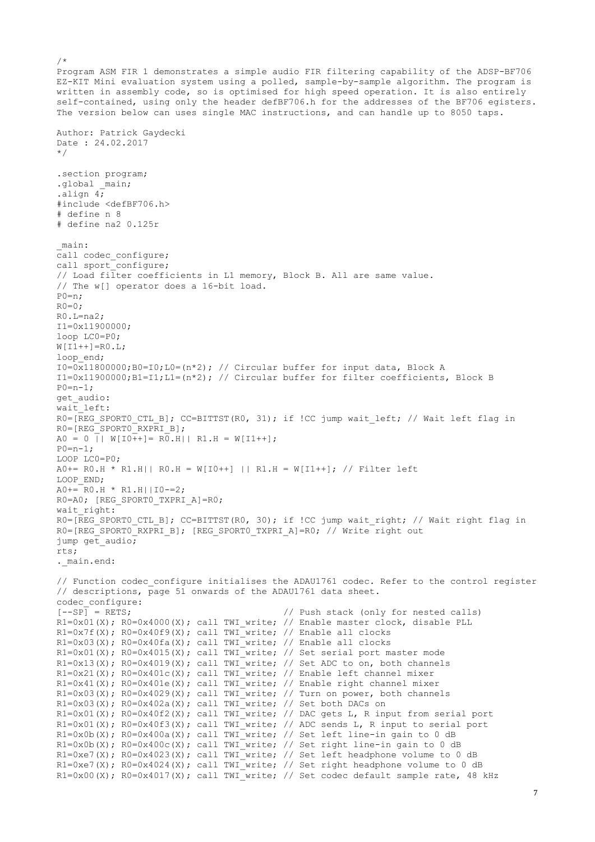Program ASM FIR 1 demonstrates a simple audio FIR filtering capability of the ADSP-BF706 EZ-KIT Mini evaluation system using a polled, sample-by-sample algorithm. The program is written in assembly code, so is optimised for high speed operation. It is also entirely self-contained, using only the header defBF706.h for the addresses of the BF706 egisters. The version below can uses single MAC instructions, and can handle up to 8050 taps. Author: Patrick Gaydecki Date : 24.02.2017 \*/ .section program; .global main; .align 4; #include <defBF706.h> # define n 8 # define na2 0.125r \_main: call codec configure; call sport\_configure; // Load filter coefficients in L1 memory, Block B. All are same value. // The w[] operator does a 16-bit load.  $P() = n$  $R0=0$ : R0.L=na2; I1=0x11900000; loop LC0=P0;  $W[I1++]=RO.L;$ loop\_end;  $I0=0x11800000;B0=I0;L0=(n*2);$  // Circular buffer for input data, Block A I1=0x11900000;B1=I1;L1=(n\*2); // Circular buffer for filter coefficients, Block B  $P0=n-1;$ get\_audio: wait left: R0=[REG SPORT0 CTL B]; CC=BITTST(R0, 31); if !CC jump wait left; // Wait left flag in R0=[REG\_SPORT0\_RXPRI\_B];  $A0 = 0$  ||  $W[IO++] = R0.H$ || R1.H =  $W[II++]$ ;  $P0=n-1;$ LOOP LC0=P0; A0+= R0.H \* R1.H|| R0.H = W[I0++] || R1.H = W[I1++]; // Filter left LOOP\_END;  $A0+=$  $R0.H * R1.H$ ||I0-=2; R0=A0; [REG\_SPORT0\_TXPRI\_A]=R0; wait right: R0=[REG SPORTO CTL B]; CC=BITTST(R0, 30); if !CC jump wait right; // Wait right flag in R0=[REG\_SPORT0\_RXPRI\_B]; [REG\_SPORT0\_TXPRI\_A]=R0; // Write right out jump get audio; rts; .\_main.end: // Function codec configure initialises the ADAU1761 codec. Refer to the control register // descriptions, page 51 onwards of the ADAU1761 data sheet. codec\_configure:  $[-SP] = RETS;$  // Push stack (only for nested calls) R1=0x01(X); R0=0x4000(X); call TWI write; // Enable master clock, disable PLL  $R1=0x7f(X)$ ;  $R0=0x40f9(X)$ ; call TWI\_write; // Enable all clocks  $R1=0x03(X)$ ;  $R0=0x40fa(X)$ ; call TWI\_write; // Enable all clocks R1=0x01(X); R0=0x4015(X); call TWI<sup>-</sup>write; // Set serial port master mode  $R1=0x13(X)$ ;  $R0=0x4019(X)$ ; call TWI\_write; // Set ADC to on, both channels R1=0x21(X); R0=0x401c(X); call TWI write; // Enable left channel mixer R1=0x41(X); R0=0x401e(X); call TWI write; // Enable right channel mixer  $R1=0x03(X)$ ;  $R0=0x4029(X)$ ; call TWI<sup>\_w</sup>rite; // Turn on power, both channels  $R1=0x03(X)$ ;  $R0=0x402a(X)$ ; call TWI write; // Set both DACs on R1=0x01(X); R0=0x40f2(X); call TWI\_write; // DAC gets L, R input from serial port R1=0x01(X); R0=0x40f3(X); call TWI write; // ADC sends L, R input to serial port R1=0x0b(X); R0=0x400a(X); call TWI write; // Set left line-in gain to 0 dB  $R1=0x0b(X)$ ;  $R0=0x400c(X)$ ; call TWI<sup>-</sup>write; // Set right line-in gain to 0 dB R1=0xe7(X); R0=0x4023(X); call TWI write; // Set left headphone volume to 0 dB R1=0xe7(X); R0=0x4024(X); call TWI\_write; // Set right headphone volume to 0 dB R1=0x00(X); R0=0x4017(X); call TWI\_write; // Set codec default sample rate, 48 kHz

 $/$ \*

7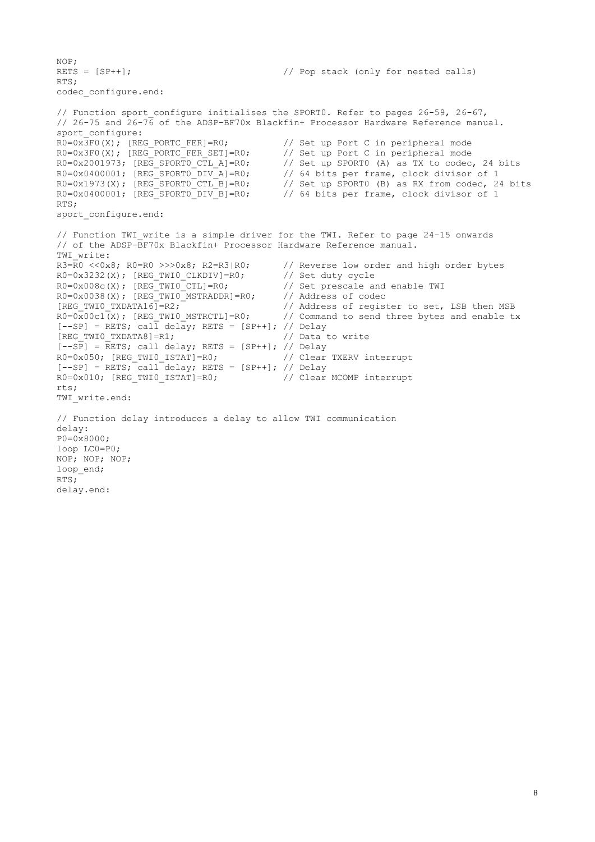```
NOP;
RETS = [SP++]; \frac{1}{2} // Pop stack (only for nested calls)
RTS;
codec_configure.end:
// Function sport configure initialises the SPORT0. Refer to pages 26-59, 26-67,
// 26-75 and 26-76 of the ADSP-BF70x Blackfin+ Processor Hardware Reference manual.
sport_configure:<br>R0=0x3F0(X); [REG PORTC FER]=R0;
                                                 // Set up Port C in peripheral mode
R0=0x3F0(X); [REG_PORTC_FER_SET]=R0; // Set up Port C in peripheral mode<br>R0=0x2001973; [REG_SPORTO_CTL_A]=R0; // Set up SPORT0 (A) as TX to codec<br>R0=0x0400001; [REG_SPORTO_DIV_A]=R0; // 64 bits per frame, clock divisor<br>R0=
R0=0x2001973; [REG SPORTO CTL A]=R0; // Set up SPORTO (A) as TX to codec, 24 bits
R0=0x0400001; [REG SPORT0 DIV A]=R0; // 64 bits per frame, clock divisor of 1
R0=0 \times 1973(X); [REG\_SPORTO\_CTL_B]=R0; // Set up SPORT0 (B) as RX from codec, 24 bits<br>R0=0 \times 0400001; [REG\_SPORTO_DIV_B]=R0; // 64 bits per frame, clock divisor of 1
                                                 1/64 bits per frame, clock divisor of 1
RTS;
sport configure.end:
// Function TWI write is a simple driver for the TWI. Refer to page 24-15 onwards
// of the ADSP-BF70x Blackfin+ Processor Hardware Reference manual.
TWI write:
R3=R0 <<0x8; R0=R0 >>>0x8; R2=R3|R0; // Reverse low order and high order bytes R0=0x3232(X); [REG_TWIO_CLKDIV]=R0; // Set duty cycle
R0=0x3232(X); [REG_TWIO_CLKDIV]=R0; // Set duty cycle
R0=0x008c(X); [REG_TWIO_CTL]=R0; // Set prescale and enable TWI
R0=0x0038(X); [REG_TWIO_MSTRADDR]=R0; // Address of codec
[REG_TWIO_TXDATA16]=R2; \frac{1}{1} // Address of register to set, LSB then MSB R0=0x00c1(X); [REG_TWIO_MSTRCTL]=R0; // Command to send three bytes and enable t:
                                                 // Command to send three bytes and enable tx
[-SPI = RETS; call delay; RETS = [SP++]; // Delay[REG_TWI0_TXDATA8]=R1; // Data to write
[--SP] = RETS; call delay; RETS = [SP++]; // Delay
R0=0x050; [REG_TWIO_ISTAT]=R0; // Clear TXERV interrupt
[--SP] = RESTS; \overline{call} delay; RETS = [SP++]; // Delay
R0=0 \times 010; [REG_TWI0_ISTAT]=R0; // Clear MCOMP interrupt
rts;
TWI write.end:
// Function delay introduces a delay to allow TWI communication
delay:
P0=0x8000;
loop LC0=P0;
NOP; NOP; NOP;
loop_end;
RTS;
delay.end:
```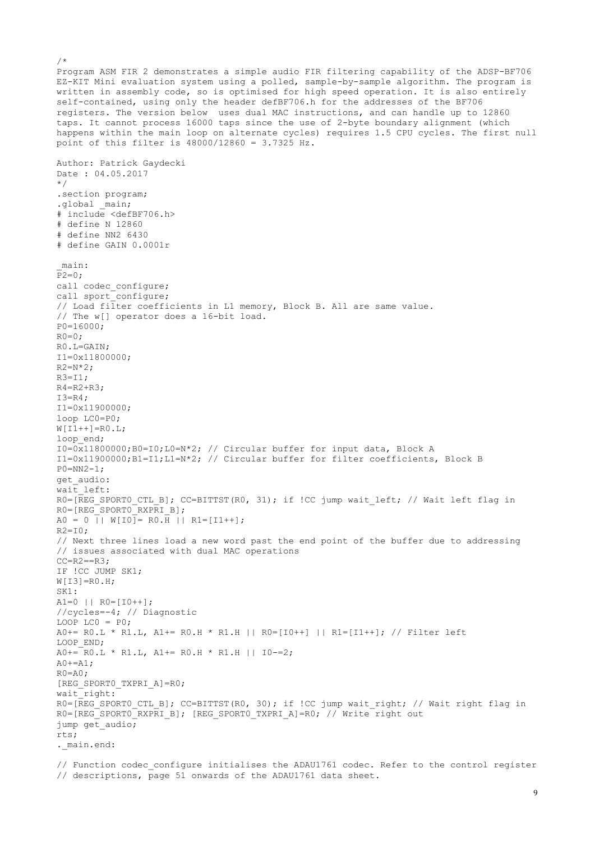Program ASM FIR 2 demonstrates a simple audio FIR filtering capability of the ADSP-BF706 EZ-KIT Mini evaluation system using a polled, sample-by-sample algorithm. The program is written in assembly code, so is optimised for high speed operation. It is also entirely self-contained, using only the header defBF706.h for the addresses of the BF706 registers. The version below uses dual MAC instructions, and can handle up to 12860 taps. It cannot process 16000 taps since the use of 2-byte boundary alignment (which happens within the main loop on alternate cycles) requires 1.5 CPU cycles. The first null point of this filter is 48000/12860 = 3.7325 Hz. Author: Patrick Gaydecki Date : 04.05.2017 \*/ .section program; .global main; # include <defBF706.h> # define N 12860 # define NN2 6430 # define GAIN 0.0001r \_main:  $P2=0;$ call codec configure; call sport\_configure; // Load filter coefficients in L1 memory, Block B. All are same value. // The w[] operator does a 16-bit load. P0=16000;  $R0=0;$ R0.L=GAIN; I1=0x11800000;  $R2=N*2;$  $R3 = T1$ :  $R4 = R2 + R3;$  $I3=R4$ : I1=0x11900000; loop LC0=P0;  $W[I1++] = R0.L;$ loop end;  $I0=0 \times 11800000$ ; B0=I0; L0=N\*2; // Circular buffer for input data, Block A I1=0x11900000;B1=I1;L1=N\*2; // Circular buffer for filter coefficients, Block B  $P0 = NN2 - 1$ ; get\_audio: wait left: R0=[REG SPORT0 CTL B]; CC=BITTST(R0, 31); if !CC jump wait left; // Wait left flag in  $RO = [REG SPORT0 RXPRI B];$  $A0 = 0$  ||  $W[IO] = R0 \cdot \overline{H}$  ||  $R1 = [I1++]$ ;  $R2=T0$ : // Next three lines load a new word past the end point of the buffer due to addressing // issues associated with dual MAC operations  $CC=R2==R3;$ IF !CC JUMP SK1;  $W[I3]=R0.H;$ SK1:  $A1=0$  ||  $R0=[10++]$ ; //cycles=-4; // Diagnostic LOOP LCO =  $P0$ ;  $A0+= R0.L * R1.L, A1+= R0.H * R1.H || R0=[I0++] || R1=[I1++]; // Filter left$ LOOP\_END;  $A0+=$  RO.L \* R1.L, A1+= RO.H \* R1.H || I0-=2;  $A0+=A1;$  $RO=AO$ ; [REG\_SPORT0\_TXPRI\_A]=R0; wait\_right: R0=[REG SPORTO CTL B]; CC=BITTST(R0, 30); if !CC jump wait right; // Wait right flag in R0=[REG\_SPORT0\_RXPRI\_B]; [REG\_SPORT0\_TXPRI\_A]=R0; // Write right out jump get\_audio; rts; . main.end:

 $/$ \*

// Function codec configure initialises the ADAU1761 codec. Refer to the control register // descriptions, page 51 onwards of the ADAU1761 data sheet.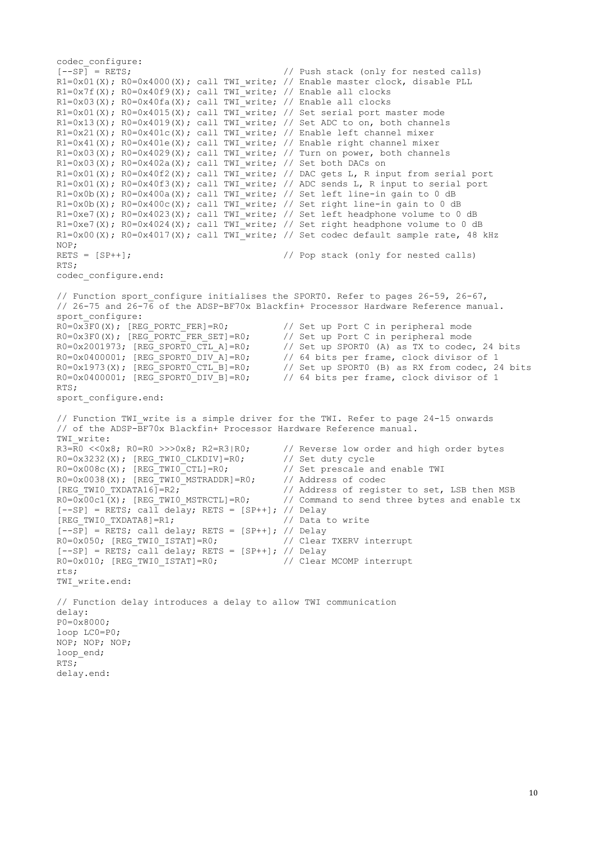codec\_configure:<br>[--SP] = RETS: // Push stack (only for nested calls) R1=0x01(X); R0=0x4000(X); call TWI write; // Enable master clock, disable PLL  $R1=0x7f(X)$ ;  $R0=0x40f9(X)$ ; call TWI write; // Enable all clocks  $R1=0x03(X)$ ;  $R0=0x40fa(X)$ ; call TWI\_write; // Enable all clocks R1=0x01(X); R0=0x4015(X); call TWI write; // Set serial port master mode R1=0x13(X); R0=0x4019(X); call TWI write; // Set ADC to on, both channels R1=0x21(X); R0=0x401c(X); call TWI\_write; // Enable left channel mixer  $R1=0x41(X)$ ;  $R0=0x401e(X)$ ; call TWI\_write; // Enable right channel mixer  $R1=0x03(X)$ ;  $R0=0x4029(X)$ ; call TWI<sup>\_w</sup>rite; // Turn on power, both channels  $R1=0x03(X)$ ;  $R0=0x402a(X)$ ; call TWI write; // Set both DACs on R1=0x01(X); R0=0x40f2(X); call TWI write; // DAC gets L, R input from serial port R1=0x01(X); R0=0x40f3(X); call TWI write; // ADC sends L, R input to serial port  $R1=0x0b(X)$ ;  $R0=0x400a(X)$ ; call TWI write; // Set left line-in gain to 0 dB R1=0x0b(X); R0=0x400c(X); call TWI<sup>\_</sup>write; // Set right line-in gain to 0 dB R1=0xe7(X); R0=0x4023(X); call TWI write; // Set left headphone volume to 0 dB R1=0xe7(X); R0=0x4024(X); call TWI write; // Set right headphone volume to 0 dB R1=0x00(X); R0=0x4017(X); call TWI write; // Set codec default sample rate, 48 kHz NOP; RETS = [SP++];  $\qquad$  // Pop stack (only for nested calls) RTS; codec\_configure.end: // Function sport configure initialises the SPORT0. Refer to pages 26-59, 26-67, // 26-75 and 26-76 of the ADSP-BF70x Blackfin+ Processor Hardware Reference manual. sport\_configure:  $R0=0x\overline{3}F0(X)$ ; [REG\_PORTC\_FER]=R0;  $//$  Set up Port C in peripheral mode  $R0=0x3F0(X);$  [REG\_PORTC\_FER\_SET]=R0;<br> $R0=0x2001973;$  [REG\_SPORT0\_CTL\_A]=R0; R0=0x3F0(X); [REG\_PORTC\_FER\_SET]=R0; // Set up Port C in peripheral mode<br>R0=0x2001973; [REG\_SPORTO\_CTL\_A]=R0; // Set up SPORT0 (A) as TX to codec, 24 bits<br>R0=0x0400001; [REG\_SPORTO\_DIV\_A]=R0; // 64 bits per frame, clock d // 64 bits per frame, clock divisor of 1  $R0=0 \times 1973(X)$ ;  $[REG\_SPORT0-CTL_B]=R0$ ; // Set up SPORT0 (B) as RX from codec, 24 bits<br> $R0=0 \times 0400001$ ;  $[REG\_SPORT0_DIV_B]=R0$ ; // 64 bits per frame, clock divisor of 1 // 64 bits per frame, clock divisor of 1 RTS; sport configure.end: // Function TWI write is a simple driver for the TWI. Refer to page 24-15 onwards // of the ADSP-BF70x Blackfin+ Processor Hardware Reference manual. TWI\_write:<br> $R3=R0 \leq 0 \times 8$ ;  $R0=R0 \geq 0 \times 8$ ;  $R2=R3|R0$ ;  $2/7$  Reverse low order and high order bytes  $2/7$  Set duty cycle  $R0=0x3232(X)$ ; [REG\_TWIO\_CLKDIV]=R0; // Set duty cycle<br> $R0=0x008c(X)$ ; [REG\_TWIO\_CTL]=R0; // Set prescale and enable TWI  $R0=0\times008c(X);$  [REG<sup>T</sup>WI0<sup>-</sup>CTL]=R0;  $R0=0x0038(X)$ ;  $[REG_TWIO_MSTRADDR]=R0$ ; // Address of codec<br> $[REG_TWIO_TXDATA16]=R2$ ; // Address of regist // Address of register to set, LSB then MSB<br>// Command to send three bytes and enable tx  $R0=0x00c1(X)$ ; [REG TWI0 MSTRCTL]=R0; // Command to send three bytes and enable tx  $[--SP]$  = RETS; call delay; RETS = [SP++]; // Delay [REG\_TWI0\_TXDATA8]=R1;  $\overline{\hspace{1cm}}$  // Data to write  $[--S\overline{P}]$  =  $\overline{R}ETS$ ; call delay; RETS = [SP++]; // Delay R0=0x050; [REG\_TWI0\_ISTAT]=R0; // Clear TXERV interrupt  $[--SP]$  = RETS; call delay; RETS = [SP++]; // Delay R0=0x010; [REG\_TWI0\_ISTAT]=R0; // Clear MCOMP interrupt rts; TWI\_write.end: // Function delay introduces a delay to allow TWI communication delay: P0=0x8000; loop LC0=P0; NOP; NOP; NOP; loop\_end; RTS; delay.end: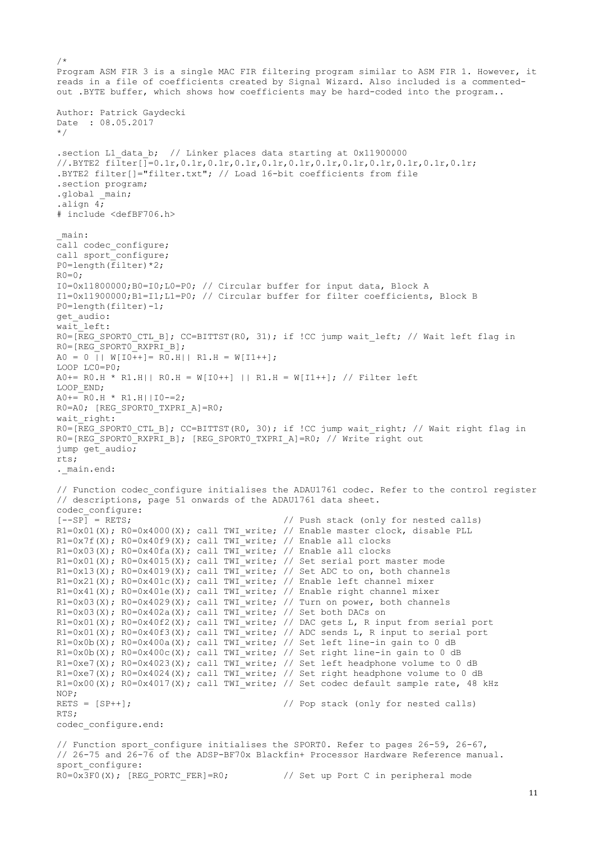```
/*
Program ASM FIR 3 is a single MAC FIR filtering program similar to ASM FIR 1. However, it 
reads in a file of coefficients created by Signal Wizard. Also included is a commented-
out .BYTE buffer, which shows how coefficients may be hard-coded into the program..
Author: Patrick Gaydecki
Date : 08.05.2017 
*/
.section L1_data_b; // Linker places data starting at 0x11900000
//.BYTE2 filter[]=0.1r,0.1r,0.1r,0.1r,0.1r,0.1r,0.1r,0.1r,0.1r,0.1r,0.1r,0.1r;
.BYTE2 filter[]="filter.txt"; // Load 16-bit coefficients from file
.section program; 
.global main;
.align 4;
# include <defBF706.h>
_main:
call codec configure;
call sport configure;
P0=length(filter)*2;
R0=0;I0=0x11800000;B0=I0;L0=P0; // Circular buffer for input data, Block A
I1=0x11900000;B1=I1;L1=P0; // Circular buffer for filter coefficients, Block B
P0=length(filter)-1;
get_audio:
wait_left:
R0=[REG SPORT0 CTL B]; CC=BITTST(R0, 31); if !CC jump wait left; // Wait left flag in
RO=IREG SPORT0 RXPRI Bl;
A0 = 0 || W[I0++]= R0.H|| R1.H = W[I1++];
LOOP LC0=P0;
A0+= R0.H * R1.H|| R0.H = W[I0++] || R1.H = W[I1++]; // Filter left
LOOP END;
A0 == R0.H * R1.H ||IO == 2;R0=A0; [REG SPORT0 TXPRI A]=R0;
wait right:
R0=[REG_SPORT0_CTL_B]; CC=BITTST(R0, 30); if !CC jump wait_right; // Wait right flag in
R0=[REG_SPORT0_RXPRI_B]; [REG_SPORT0_TXPRI_A]=R0; // Write right out
jump get audio;
rts;
._main.end:
// Function codec configure initialises the ADAU1761 codec. Refer to the control register
// descriptions, page 51 onwards of the ADAU1761 data sheet.
codec_configure:<br>[--SP] = RETS;
                                          // Push stack (only for nested calls)
R1=0x01(X); R0=0x4000(X); call TWI write; // Enable master clock, disable PLL
R1=0x7f(X); R0=0x40f9(X); call TWI write; // Enable all clocks
R1=0x03(X); R0=0x40fa(X); call TWI_write; // Enable all clocks
R1=0x01(X); R0=0x4015(X); call TWI write; // Set serial port master mode
R1=0x13(X); R0=0x4019(X); call TWI write; // Set ADC to on, both channels
R1=0x21(X); R0=0x401c(X); call TWI<sup>-</sup>write; // Enable left channel mixer
R1=0x41(X); R0=0x401e(X); call TWI write; // Enable right channel mixer
R1=0x03(X); R0=0x4029(X); call TWI_write; // Turn on power, both channels
R1=0x03(X); R0=0x402a(X); call TWI write; // Set both DACs on
R1=0x01(X); R0=0x40f2(X); call TWI write; // DAC gets L, R input from serial port
R1=0x01(X); R0=0x40f3(X); call TWI write; // ADC sends L, R input to serial port
R1=0x0b(X); R0=0x400a(X); call TWT write; // Set left line-in gain to 0 dBR1=0x0b(X); R0=0x400c(X); call TWI-write; // Set right line-in gain to 0 dBR1=0xe7(X); R0=0x4023(X); call TWI_write; // Set left headphone volume to 0 dB
R1=0xe7(X); R0=0x4024(X); call TWI write; // Set right headphone volume to 0 dB
R1=0x00(X); R0=0x4017(X); call TWI write; // Set codec default sample rate, 48 kHz
NOP;
RETS = [SP++]; \frac{1}{2} // Pop stack (only for nested calls)
RTS;
codec_configure.end:
// Function sport configure initialises the SPORT0. Refer to pages 26-59, 26-67,
// 26-75 and 26-76 of the ADSP-BF70x Blackfin+ Processor Hardware Reference manual.
sport_configure:
```
R0=0x3F0(X); [REG\_PORTC\_FER]=R0; // Set up Port C in peripheral mode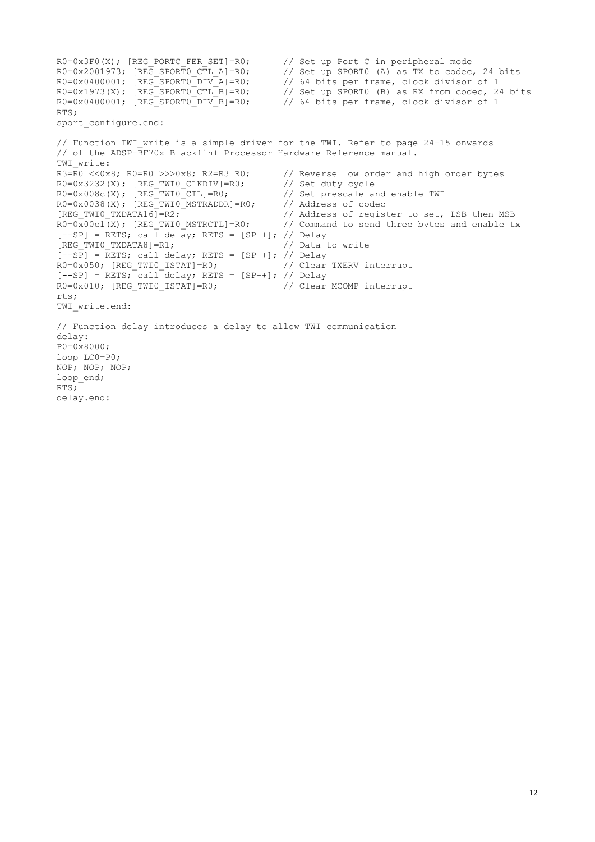```
R0=0x3F0(X); [REG_PORTC_FER_SET]=R0; // Set up Port C in peripheral mode R0=0x2001973; [REG SPORTO CTL A]=R0; // Set up SPORTO (A) as TX to codec
R0=0x2001973; [REG_SPORTO_CTL_A]=R0; // Set up SPORT0 (A) as TX to codec, 24 bits<br>R0=0x0400001; [REG_SPORTO_DIV_A]=R0; // 64 bits per frame, clock divisor of 1
R0=0 \times 0400001; [REG\_SPORT0\_DIV\_A]=R0; // 64 bits per frame, clock divisor of 1<br>R0=0 \times 1973(X); [REG\_SPORT0\_CTL_B]=R0; // Set up SPORT0 (B) as RX from codec, 24
                                                    1/ Set up SPORT0 (B) as RX from codec, 24 bits
R0=0x0400001; [REG_SPORTO_DIV_B]=R0; // 64 bits per frame, clock divisor of 1
RTS;
sport configure.end:
// Function TWI write is a simple driver for the TWI. Refer to page 24-15 onwards
// of the ADSP-BF70x Blackfin+ Processor Hardware Reference manual.
TWI write:
R3=R0 <<0x8; R0=R0 >>>0x8; R2=R3|R0; // Reverse low order and high order bytes R0=0x3232(X); [REG TWI0 CLKDIV]=R0; // Set duty cycle
R0=0x3232(X); [REG_TWIO_CLKDIV]=R0; // Set duty cycle<br>R0=0x008c(X); [REG_TWIO_CTL]=R0; // Set prescale and enable TWI
R0=0\times008c(X); [REG<sup>T</sup>WI0<sup>-</sup>CTL]=R0;
R0=0x0038(X); [REG\_TWIO\_MSTRADDR]=R0; // Address of codec [REG TWIO TXDATA16]=R2; // Address of regist
                                                    // Address of register to set, LSB then MSB
R0=0x00c1(X); [REG TWI0 MSTRCTL]=R0; // Command to send three bytes and enable tx
[--SP] = RETS; call delay; RETS = [SP++]; // Delay
[REG_TWI0_TXDATA8]=R1; // Data to write
[--SP] = RETS; call delay; RETS = [SP++]; // Delay
R0=0x050; [REG_TWIO_ISTAT]=R0; // Clear TXERV interrupt
[--SP] = RETS; call delay; RETS = [SP++]; // Delay
R0=0x010; [REG_TWI0_ISTAT]=R0; // Clear MCOMP interrupt
r+s:
TWI write.end:
// Function delay introduces a delay to allow TWI communication
delay:
P0=0 \times 8000:
loop LC0=P0;
NOP; NOP; NOP;
loop end;
RTS;
delay.end:
```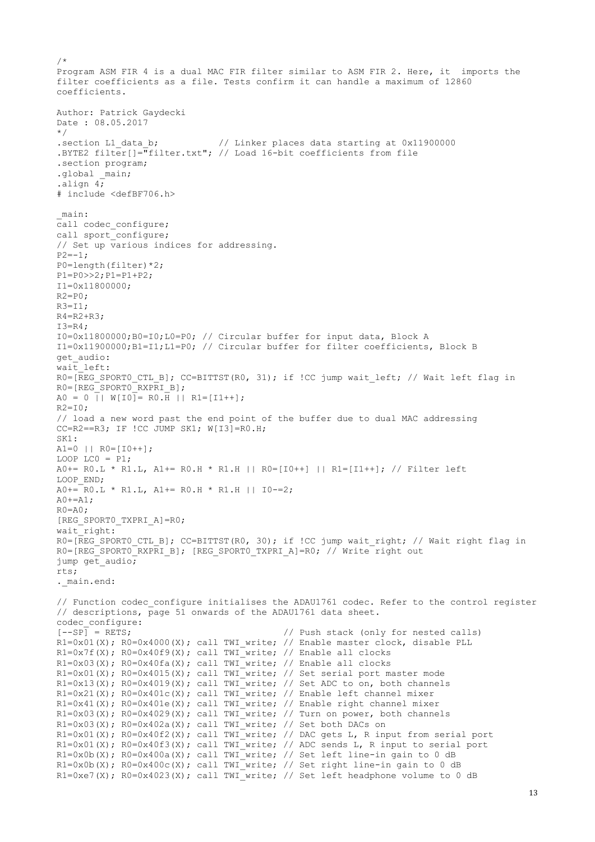```
/*
Program ASM FIR 4 is a dual MAC FIR filter similar to ASM FIR 2. Here, it imports the 
filter coefficients as a file. Tests confirm it can handle a maximum of 12860 
coefficients.
Author: Patrick Gaydecki 
Date : 08.05.2017
*/
.section L1 data b; // Linker places data starting at 0x11900000
.BYTE2 filter[]="filter.txt"; // Load 16-bit coefficients from file
.section program; 
.global main;
.align 4; 
# include <defBF706.h>
_main:
call codec configure;
call sport_configure;
// Set up various indices for addressing.
P2=-1;P0=length(filter)*2; 
P1=P0>>2;P1=P1+P2;
I1=0x11800000;
R2 = P0R3 = T1:
R4 = R2 + R3;T3=R4:
I0=0x11800000;B0=I0;L0=P0; // Circular buffer for input data, Block A
I1=0x11900000;B1=I1;L1=P0; // Circular buffer for filter coefficients, Block B
get audio:
wait left:
R0=[REG SPORT0 CTL B]; CC=BITTST(R0, 31); if !CC jump wait left; // Wait left flag in
R0=[REG_SPORT0_RXPRI_B];
A0 = 0 || W[IO]= RO.H || R1=[I1++];
R2=T0:
// load a new word past the end point of the buffer due to dual MAC addressing
CC=R2==R3; IF !CC JUMP SK1; W[I3]=R0.H; 
SK1:
A1=0 || R0=[10++];
LOOP LCO = P1;
A0+= R0.L * R1.L, A1+= R0.H * R1.H || R0=[I0++] || R1=[I1++]; // Filter left
LOOP END;
A0+= RO.L * R1.L, A1+= RO.H * R1.H || I0-=2;
A0+=A1:
RO=AO;
[REG_SPORT0_TXPRI_A]=R0;
wait right:
R0=[REG_SPORT0_CTL_B]; CC=BITTST(R0, 30); if !CC jump wait right; // Wait right flag in
R0 = [REGSPORTO RXPRI B]; [REG SPORTO_TXPRI_A]=R0; // Write right out
jump get_audio;
rts;
. main.end:
// Function codec configure initialises the ADAU1761 codec. Refer to the control register
// descriptions, page 51 onwards of the ADAU1761 data sheet.
codec_configure:<br>[--SP] = RETS;
                                           // Push stack (only for nested calls)
R1=0x01(X); R0=0x4000(X); call TWI write; // Enable master clock, disable PLL
R1=0x7f(X); R0=0x40f9(X); call TWI write; // Enable all clocks
R1=0x03(X); R0=0x40fa(X); call TWI_write; // Enable all clocks
R1=0x01(X); R0=0x4015(X); call TWI write; // Set serial port master mode
R1=0x13(X); R0=0x4019(X); call TWI write; // Set ADC to on, both channels
R1=0x21(X); R0=0x401c(X); call TWI_write; // Enable left channel mixer
R1=0x41(X); R0=0x401e(X); call TWI write; // Enable right channel mixer
R1=0x03(X); R0=0x4029(X); call TWI_write; // Turn on power, both channels
R1=0x03(X); R0=0x402a(X); call TWI write; // Set both DACs on
R1=0x01(X); R0=0x40f2(X); call TWI write; // DAC gets L, R input from serial port
R1=0x01(X); R0=0x40f3(X); call TWI_write; // ADC sends L, R input to serial port
R1=0x0b(X); R0=0x400a(X); call TWI write; // Set left line-in gain to 0 dB
R1=0x0b(X); R0=0x400c(X); call TWI_write; // Set right line-in gain to 0 dBR1=0xe7(X); R0=0x4023(X); call TWI_write; // Set left headphone volume to 0 dB
```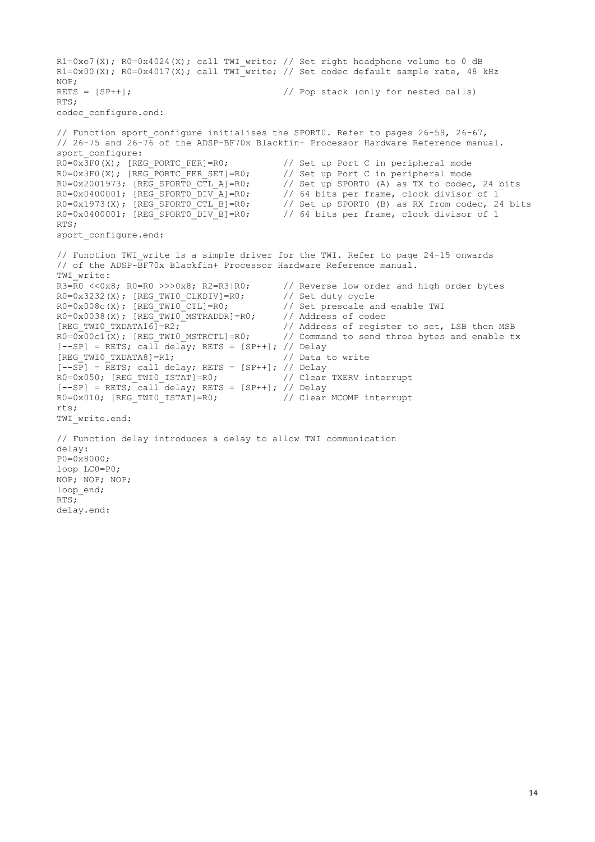```
R1=0xe7(X); R0=0x4024(X); call TWI write; // Set right headphone volume to 0 dB
R1=0x00(X); R0=0x4017(X); call TWI_write; // Set codec default sample rate, 48 kHz
NOP;
RETS = [SP++]; // Pop stack (only for nested calls)
RTS;
codec_configure.end:
// Function sport configure initialises the SPORT0. Refer to pages 26-59, 26-67,
// 26-75 and 26-76 of the ADSP-BF70x Blackfin+ Processor Hardware Reference manual.
sport_configure:
R0=0x3F0(X); [REG_PORTC_FER]=R0; // Set up Port C in peripheral mode
R0=0x3F0(X); [REG_PORTC_FER_SET]=R0; // Set up Port C in peripheral mode
R0=0x2001973; [REG_SPORTO_CTL_A]=R0; // Set up SPORT0 (A) as TX to codec, 24 bits<br>R0=0x0400001; [REG_SPORTO_CTL_A]=R0; // 64 bits per frame, clock divisor of 1
                                            // 64 bits per frame, clock divisor of 1
R0=0x1973(X); [REG\_SPORTO\_CTL_B]=R0; // Set up SPORT0 (B) as RX from codec, 24 bits R0=0x0400001; [REG\_SPORTO\_DIV_B]=R0; // 64 bits per frame, clock divisor of 1
                                            // 64 bits per frame, clock divisor of 1
RTS;
sport_configure.end:
// Function TWI write is a simple driver for the TWI. Refer to page 24-15 onwards
// of the ADSP-BF70x Blackfin+ Processor Hardware Reference manual.
TWI write:
R3=R0 <<0x8; R0=R0 >>>0x8; R2=R3|R0; // Reverse low order and high order bytes R0=0x3232(X); [REG TWIO CLKDIV]=R0; // Set duty cycle
R0=0x3232(X); [REG_TWI0_CLKDIV]=R0;
R0=0x008c(X); [REG-TWIO-CTL]=R0; // Set prescale and enable TWI
R0=0x0038(X); [REG_TWIO_MSTRADDR]=R0; // Address of codec
[REG_TWI0_TXDATA16]=R2; \overline{ } // Address of register to set, LSB then MSB
R0=0x00c1(X); [REG TWI0 MSTRCTL]=R0; // Command to send three bytes and enable tx
[--SP] = RETS; call delay; RETS = [SP++]; // Delay
[REG_TWI0_TXDATA8]=R1; \overline{ } // Data to write
[--S\overline{P}] = RETS; call delay; RETS = [SP++]; // Delay
R0=0x050; [REG_TWI0_ISTAT]=R0; // Clear TXERV interrupt
[--SP] = RETS; call delay; RETS = [SP++]; // Delay
R0=0x010; [REG_TWI0_ISTAT]=R0; // Clear MCOMP interrupt
rts;
TWI write.end:
// Function delay introduces a delay to allow TWI communication
delay:
P0=0x8000;
loop LC0=P0;
NOP; NOP; NOP;
loop_end;
RTS;
delay.end:
```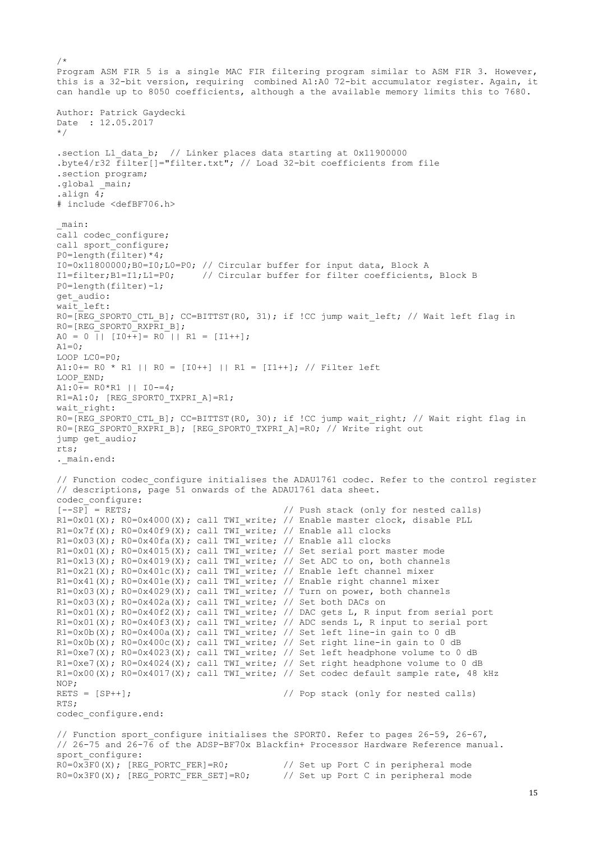```
/*
Program ASM FIR 5 is a single MAC FIR filtering program similar to ASM FIR 3. However, 
this is a 32-bit version, requiring combined A1:A0 72-bit accumulator register. Again, it 
can handle up to 8050 coefficients, although a the available memory limits this to 7680.
Author: Patrick Gaydecki
Date : 12.05.2017
*/
.section L1_data_b; // Linker places data starting at 0x11900000
.byte4/r32 filter[]="filter.txt"; // Load 32-bit coefficients from file
.section program;
.global main;
.align 4;
# include <defBF706.h>
_main:
call codec configure;
call sport_configure;
P0=length(filter)*4;
I0=0x11800000;B0=I0;L0=P0; // Circular buffer for input data, Block A
I1=filter;B1=I1;L1=P0; // Circular buffer for filter coefficients, Block B
P0=length(filter)-1;
get_audio:
wait left:
R0=[REG SPORT0 CTL B]; CC=BITTST(R0, 31); if !CC jump wait left; // Wait left flag in
R0=[REG_SPORT0_RXPRI_B];
A0 = 0 || [I0++] = R0 || R1 = [I1++];
A1=0:
LOOP LC0=P0;
A1:0+= R0 * R1 || R0 = [I0++] || R1 = [I1++]; // Filter left
LOOP END;
A1:0++ R0*R1 || I0-=4;
R1=A1:0; [REG SPORT0 TXPRI A]=R1;
wait right:
R0=[REG SPORT0 CTL B]; CC=BITTST(R0, 30); if !CC jump wait right; // Wait right flag in
R0=[REG_SPORT0_RXPRI_B]; [REG_SPORT0_TXPRI_A]=R0; // Write right out
jump get_audio;
rts;
. main.end:
// Function codec configure initialises the ADAU1761 codec. Refer to the control register
// descriptions, page 51 onwards of the ADAU1761 data sheet.
codec_configure:<br>[--SP] = RETS;// Push stack (only for nested calls)
R1=0x01(X); R0=0x4000(X); call TWI write; // Enable master clock, disable PLL
R1=0x7f(X); R0=0x40f9(X); call TWI_write; // Enable all clocks
R1=0x03(X); R0=0x40fa(X); call TWI write; // Enable all clocks
R1=0x01(X); R0=0x4015(X); call TWI_write; // Set serial port master mode
R1=0x13(X); R0=0x4019(X); call TWI write; // Set ADC to on, both channels
R1=0x21(X); R0=0x401c(X); call TWI write; // Enable left channel mixer
R1=0x41(X); R0=0x401e(X); call TWI write; // Enable right channel mixer
R1=0x03(X); R0=0x4029(X); call TWI write; // Turn on power, both channels
R1=0x03(X); R0=0x402a(X); call TWI_write; // Set both DACs on
R1=0x01(X); R0=0x40f2(X); call TWI_write; // DAC gets L, R input from serial port
R1=0x01(X); R0=0x40f3(X); call TWI_write; // ADC sends L, R input to serial port
R1=0x0b(X); R0=0x400a(X); call TWI write; // Set left line-in gain to 0 dB
R1=0x0b(X); R0=0x400c(X); call TWI-write; // Set right line-in gain to 0 dBR1=0xe7(X); R0=0x4023(X); call TWI write; // Set left headphone volume to 0 dB
R1=0xe7(X); R0=0x4024(X); call TWI_write; // Set right headphone volume to 0 dB
R1=0x00(X); R0=0x4017(X); call TWI write; // Set codec default sample rate, 48 kHz
NOP;
RETS = [SP++]; // Pop stack (only for nested calls)
RTS;
codec_configure.end:
// Function sport_configure initialises the SPORT0. Refer to pages 26-59, 26-67,
// 26-75 and 26-76 of the ADSP-BF70x Blackfin+ Processor Hardware Reference manual.
sport_configure:
```
R0=0x3F0(X); [REG\_PORTC\_FER]=R0; // Set up Port C in peripheral mode R0=0x3F0(X); [REG\_PORTC\_FER\_SET]=R0; // Set up Port C in peripheral mode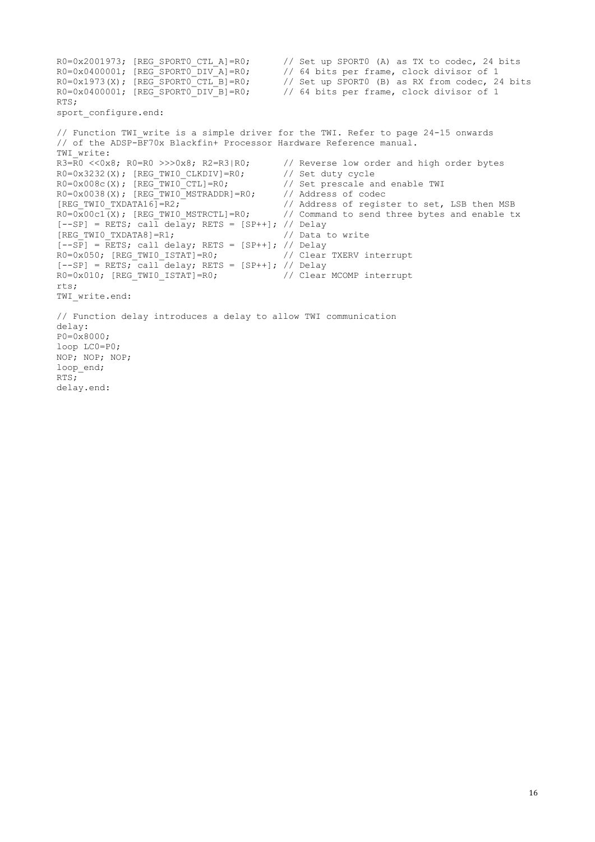$R0=0x2001973$ ; [REG SPORTO CTL A]=R0; // Set up SPORTO (A) as TX to codec, 24 bits R0=0x0400001; [REG SPORT0 DIV A]=R0; // 64 bits per frame, clock divisor of 1  $R0=0x1973(X)$ ; [REG SPORTO CTL B]=R0; // Set up SPORTO (B) as RX from codec, 24 bits R0=0x0400001; [REG\_SPORT0\_DIV\_B]=R0; // 64 bits per frame, clock divisor of 1 RTS; sport configure.end: // Function TWI\_write is a simple driver for the TWI. Refer to page 24-15 onwards // of the ADSP-BF70x Blackfin+ Processor Hardware Reference manual. TWI\_write:<br> $R3=R0 \leq 0 \times 8$ ;  $R0=R0 \geq 0 \times 8$ ;  $R2=R3|R0$ ; // Reverse low order and high order bytes R0=0x3232(X); [REG\_TWI0\_CLKDIV]=R0; // Set duty cycle<br>R0=0x008c(X); [REG\_TWI0\_CTL]=R0; // Set prescale and enable TWI R0=0x008c(X); [REG\_TWI0\_CTL]=R0; // Set prescale and R0=0x0038(X); [REG\_TWI0\_CTL]=R0; // Address of codec  $R0=0x0038(X);$   $[REG_TWIO-MSTRADDR]=RO;$ <br> $[REG_TWIO_TXDATA6]=R2;$ [REG\_TWIO\_TXDATA16]=R2;  $\frac{1}{1}$  // Address of register to set, LSB then MSB R0=0x00c1(X); [REG\_TWIO\_MSTRCTL]=R0; // Command to send three bytes and enable to // Command to send three bytes and enable tx  $[--SP]$  = RETS; call delay; RETS = [SP++]; // Delay<br>[REG TWIO TXDATA8]=R1; // Data to write [REG\_TWI0\_TXDATA8]=R1;  $[--S\overline{P}]$  =  $\overline{R}ETS$ ; call delay; RETS = [SP++]; // Delay R0=0x050; [REG\_TWI0\_ISTAT]=R0; // Clear TXERV interrupt  $[--SP]$  = RETS; call delay; RETS = [SP++]; // Delay<br>R0=0x010; [REG TWIO ISTAT]=R0; // Clear MCOMP interrupt  $R0=0\times010$ ; [REG\_TWIO\_ISTAT]=R0; rts; TWI write.end: // Function delay introduces a delay to allow TWI communication delay: P0=0x8000; loop LC0=P0; NOP; NOP; NOP; loop end;  $RTS$ ; delay.end: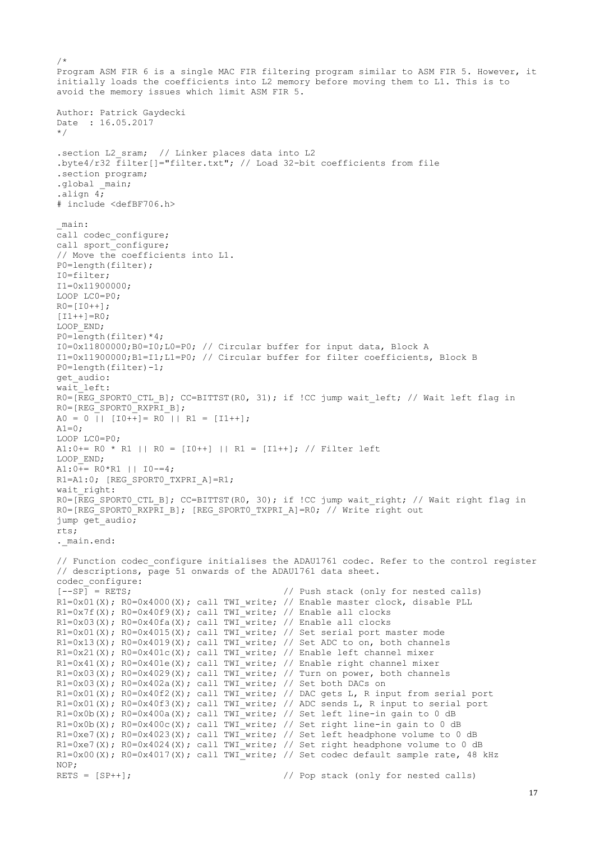```
/*
Program ASM FIR 6 is a single MAC FIR filtering program similar to ASM FIR 5. However, it 
initially loads the coefficients into L2 memory before moving them to L1. This is to 
avoid the memory issues which limit ASM FIR 5.
Author: Patrick Gaydecki
Date : 16.05.2017
*/ 
.section L2_sram; // Linker places data into L2
.byte4/r32 filter[]="filter.txt"; // Load 32-bit coefficients from file
.section program;
.global main;
.align 4;
# include <defBF706.h>
_main:
call codec configure;
call sport_configure;
// Move the coefficients into L1.
P0=length(filter); 
I0=filter;
I1=0x11900000;
LOOP LC0=P0;
R0=[I0++];
[I1++] = R0;LOOP END;
P0=length(filter)*4;
I0=0x11800000;B0=I0;L0=P0; // Circular buffer for input data, Block A
I1=0x11900000;B1=I1;L1=P0; // Circular buffer for filter coefficients, Block B
P0=length(filter)-1;
get_audio:
wait left:
R0=[REG SPORT0 CTL B]; CC=BITTST(R0, 31); if !CC jump wait left; // Wait left flag in
RO=[REG'SPORT0" RXPRI B];
A0 = 0 || [IO++] = R0 || R1 = [I1++];
A1=0:
LOOP LC0=P0;
A1:0+= R0 * R1 || R0 = [I0++] || R1 = [I1++]; // Filter left
LOOP_END;
A1:0++ R0*R1 || I0-=4;
R1=A1:0; [REG SPORT0 TXPRI A]=R1;
wait right:
R0=[REG_SPORT0_CTL_B]; CC=BITTST(R0, 30); if !CC jump wait right; // Wait right flag in
R0=[REG'SPORT0-RXPRIB]; [REG SPORT0_TXPRI_A]=R0; // Write right out
jump get_audio;
rts;
. main.end:
// Function codec configure initialises the ADAU1761 codec. Refer to the control register
// descriptions, page 51 onwards of the ADAU1761 data sheet.
codec_configure:
[--SP] = RETS; // Push stack (only for nested calls)
R1=0x01(X); R0=0x4000(X); call TWI write; // Enable master clock, disable PLL
R1=0x7f(X); R0=0x40f9(X); call TWI_write; // Enable all clocks
R1=0x03(X); R0=0x40fa(X); call TWI write; // Enable all clocks
R1=0x01(X); R0=0x4015(X); call TWI<sup>_w</sup>rite; // Set serial port master mode
R1=0x13(X); R0=0x4019(X); call TWI<sup>_w</sup>rite; // Set ADC to on, both channels
R1=0x21(X); R0=0x401c(X); call TWI<sup>-</sup>write; // Enable left channel mixer
R1=0x41(X); R0=0x401e(X); call TWI write; // Enable right channel mixer
R1=0x03(X); R0=0x4029(X); call TWI write; // Turn on power, both channels
R1=0x03(X); R0=0x402a(X); call TWI write; // Set both DACs on
R1=0x01(X); R0=0x40f2(X); call TWI_write; // DAC gets L, R input from serial port
R1=0x01(X); R0=0x40f3(X); call TWI write; // ADC sends L, R input to serial port
R1=0x0b(X); R0=0x400a(X); call TWI_write; // Set left line-in gain to 0 dBR1=0x0b(X); R0=0x400c(X); call TWI write; // Set right line-in gain to 0 dB
R1=0xe7(X); R0=0x4023(X); call TWI write; // Set left headphone volume to 0 dB
R1=0xe7(X); R0=0x4024(X); call TWI_write; // Set right headphone volume to 0 dB
R1=0x00(X); R0=0x4017(X); call TWI_write; // Set codec default sample rate, 48 kHz
NOP;
RETS = [SP++]; // Pop stack (only for nested calls)
```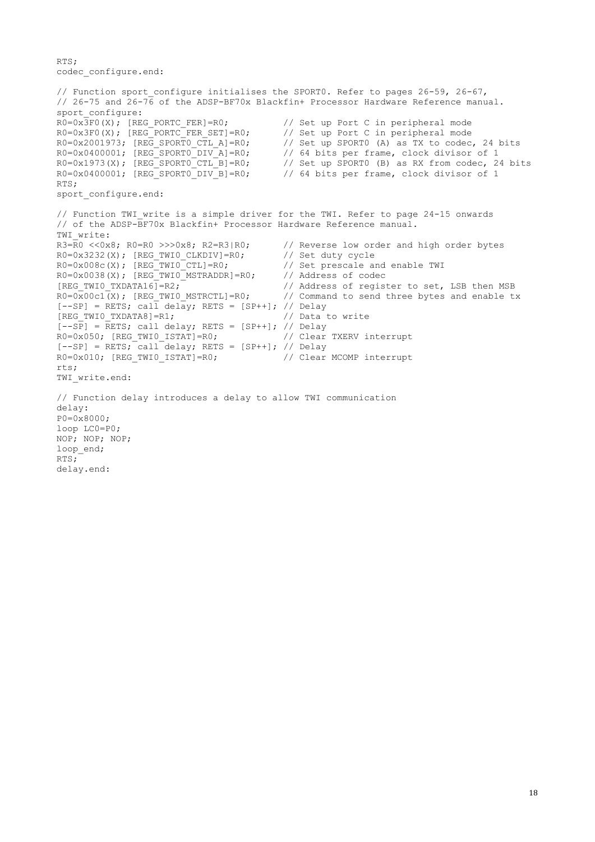```
RTS;
codec_configure.end:
```

```
// Function sport configure initialises the SPORT0. Refer to pages 26-59, 26-67,
// 26-75 and 26-76 of the ADSP-BF70x Blackfin+ Processor Hardware Reference manual.
sport_configure:
R0=0x\overline{3}F0(X); [REG_PORTC_FER]=R0; // Set up Port C in peripheral mode R0=0x3F0(X); [REG_PORTC_FER SET]=R0; // Set up Port C in peripheral mode
R0=0 \times 3F0(X); [REG-PORTC"FER SET]=R0;R0=0x2001973; [REG SPORTO CTL A]=R0; // Set up SPORTO (A) as TX to codec, 24 bits
R0=0x0400001; [REG_SPORT0_DIV_A]=R0; // 64 bits per frame, clock divisor of 1<br>R0=0x1973(X); [REG_SPORT0_CTL_B]=R0; // Set up SPORT0 (B) as RX from codec, 24<br>R0=0x0400001; [REG_SPORT0_DIV_B]=R0; // 64 bits per frame, clock 
R0=0x1973(X); [REG SPORTO CTL B]=R0; // Set up SPORTO (B) as RX from codec, 24 bits
R0=0x0400001; [REG SPORT0 DIV B]=R0; // 64 bits per frame, clock divisor of 1
RTS;
sport configure.end:
// Function TWI write is a simple driver for the TWI. Refer to page 24-15 onwards
// of the ADSP-BF70x Blackfin+ Processor Hardware Reference manual.
TWI_write:<br>R3=R0 \leq 0 \times 8; R0=R0 \geq 0 \times 8; R2=R3/R0;
                                                 // Reverse low order and high order bytes
R0=0x3232(X); [REG_TWI0_CLKDIV]=R0; // Set duty cycle
R0=0x008c(X); [REG_TWIO_CTL]=R0; // Set prescale and enable TWI
R0=0x0038(X); [REG_TWIO_MSTRADDR]=R0; // Address of codec
[REG_TWIO_TXDATA16]=R2; \frac{1}{2} // Address of register to set, LSB then MSB<br>R0=0x00c1(X); [REG TWIO MSTRCTL]=R0; // Command to send three bytes and enable t:
                                                 \frac{1}{2} Command to send three bytes and enable tx
[--SP] = \text{RETS}; \text{call delay}; \text{RETS} = [SP++]; // \text{Delay}[REG_TWI0_TXDATA8]=R1; // Data to write
[-SP] = RETS; call delay; RETS = [SP++]; // Delay
R0=0x050; [REG_TWI0_ISTAT]=R0; // Clear TXERV interrupt
[--SP] = RETS; call delay; RETS = [SP++]; // Delay
R0=0 \times 010; [REG_TWI0_ISTAT]=R0; // Clear MCOMP interrupt
rts;
TWI write.end:
// Function delay introduces a delay to allow TWI communication
delay:
P0=0x8000;
loop LC0=P0;
NOP; NOP; NOP;
loop_end;
RTS;
delay.end:
```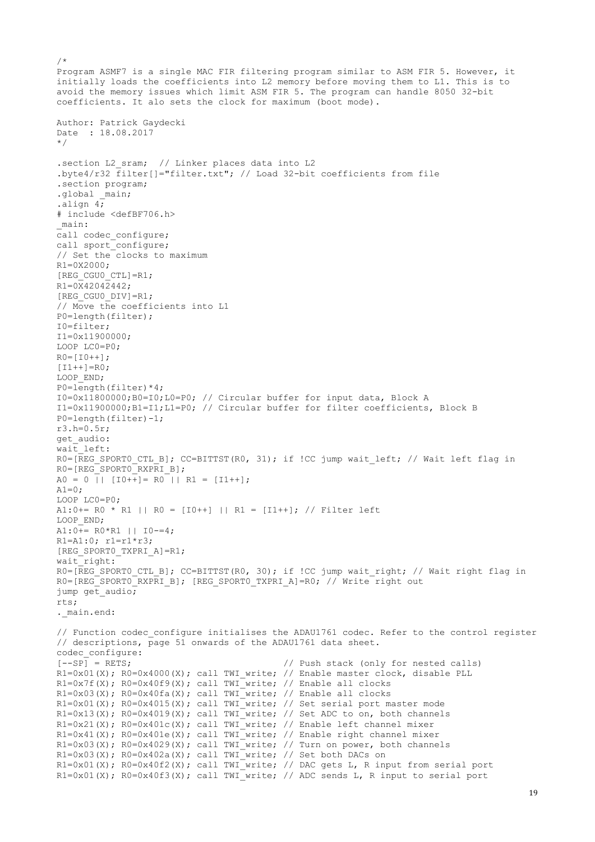```
Program ASMF7 is a single MAC FIR filtering program similar to ASM FIR 5. However, it 
initially loads the coefficients into L2 memory before moving them to L1. This is to 
avoid the memory issues which limit ASM FIR 5. The program can handle 8050 32-bit 
coefficients. It alo sets the clock for maximum (boot mode).
Author: Patrick Gaydecki 
Date : 18.08.2017 
*/ 
.section L2 sram; // Linker places data into L2
.byte4/r32 filter[]="filter.txt"; // Load 32-bit coefficients from file
.section program; 
.global main;
.align 4;
# include <defBF706.h>
_main:
call codec configure;
call sport_configure;
// Set the clocks to maximum
R1=0X2000; 
[REG_CGU0_CTL]=R1;
R1=0 \overline{X}4204\overline{2}442;[REG_CGU0_DIV]=R1;
// Move the coefficients into L1 
P0=length(filter); 
I0=filter;
I1=0x11900000; 
LOOP LC0=P0; 
R0 = [I0++];[I1++] = R0;LOOP END;
P0 =length(filter)*4;
I0=0x11800000;B0=I0;L0=P0; // Circular buffer for input data, Block A
I1=0x11900000;B1=I1;L1=P0; // Circular buffer for filter coefficients, Block B
P0=length(filter)-1;
r3.h=0.5r;
get_audio: 
wait left:
R0=[REG SPORT0 CTL B]; CC=BITTST(R0, 31); if !CC jump wait left; // Wait left flag in
RO=[REGSPORT0RXPRTB];A0 = 0 || [IO++] = R0 || R1 = [I1++];
A1=0:
LOOP LC0=P0;
A1:0+= R0 * R1 || R0 = [I0++] || R1 = [I1++]; // Filter left
LOOP END;
A1:0++ R0*R1 || I0-=4;R1=A1:0; r1=r1*r3;
[REG_SPORT0_TXPRI_A]=R1;
wait right:
R0=[REG SPORT0 CTL B]; CC=BITTST(R0, 30); if !CC jump wait right; // Wait right flag in
R0=[REG\_SPORT0-RXPRI_B]; [REG SPORT0_TXPRI_A]=R0; // Write right out
jump get_audio;
rts;
. main.end:
// Function codec configure initialises the ADAU1761 codec. Refer to the control register
// descriptions, page 51 onwards of the ADAU1761 data sheet.
codec_configure:
[-S^p] = RETS; \frac{1}{2} = RETS;
R1=0x01(X); R0=0x4000(X); call TWI write; // Enable master clock, disable PLL
R1=0x7f(X); R0=0x40f9(X); call TWI write; // Enable all clocks
R1=0x03(X); R0=0x40fa(X); call TWI write; // Enable all clocks
R1=0x01(X); R0=0x4015(X); call TWI<sup>-</sup>write; // Set serial port master mode
R1=0x13(X); R0=0x4019(X); call TWI_write; // Set ADC to on, both channels
R1=0x21(X); R0=0x401c(X); call TWI write; // Enable left channel mixer
R1=0x41(X); R0=0x401e(X); call TWI write; // Enable right channel mixer
R1=0x03(X); R0=0x4029(X); call TWI_write; // Turn on power, both channels
R1=0x03(X); R0=0x402a(X); call TWI<sup>_w</sup>rite; // Set both DACs on
R1=0x01(X); R0=0x40f2(X); call TWI_write; // DAC gets L, R input from serial port
R1=0x01(X); R0=0x40f3(X); call TWI_write; // ADC sends L, R input to serial port
```
 $/$ \*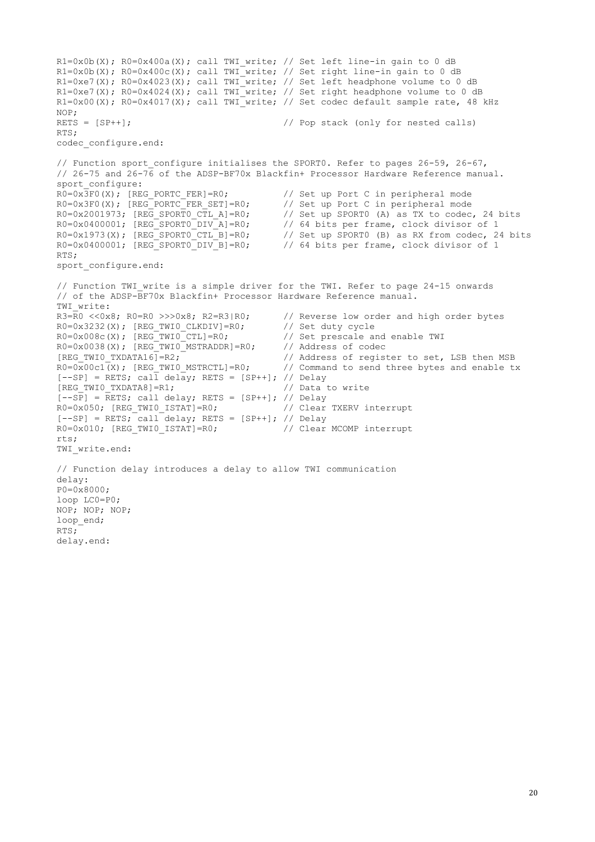```
R1=0x0b(X); R0=0x400a(X); call TWI write; // Set left line-in gain to 0 dB
R1=0x0b(X); R0=0x400c(X); call TWI write; // Set right line-in gain to 0 dB
R1=0xe7(X); R0=0x4023(X); call TWI_write; // Set left headphone volume to 0 dB
R1=0xe7(X); R0=0x4024(X); call TWI<sup>-</sup>write; // Set right headphone volume to 0 dB
R1=0x00(X); R0=0x4017(X); call TWI_write; // Set codec default sample rate, 48 kHz
NOP;
RETS = [SP++]; \frac{1}{2} // Pop stack (only for nested calls)
RTS;
codec_configure.end:
// Function sport_configure initialises the SPORT0. Refer to pages 26-59, 26-67,
// 26-75 and 26-76 of the ADSP-BF70x Blackfin+ Processor Hardware Reference manual.
sport_{configure:}<br>R0=0x3F0(X); [REG PORTC FER]=R0;
                                             // Set up Port C in peripheral mode
R0=0x3F0(X); [REG_PORTC_FER_SET]=R0; // Set up Port C in peripheral mode R0=0x2001973; [REG_SPORTO_CTL_A]=R0; // Set up SPORTO (A) as TX to codec
R0=0x2001973; [REG_SPORTO_CTL_A]=R0; // Set up SPORT0 (A) as TX to codec, 24 bits<br>R0=0x0400001; [REG_SPORTO_DIV_A]=R0; // 64 bits per frame, clock divisor of 1<br>R0=0x1973(X); [REG_SPORTO_CTL_B]=R0; // Set up SPORT0 (B) as 
R0=0x0400001; [REG SPORT0 DIV A]=R0; // 64 bits per frame, clock divisor of 1
R0=0x1973(X); [REG SPORTO CTL B]=R0; // Set up SPORTO (B) as RX from codec, 24 bits
R0=0x0400001; [REG_SPORT0_DIV_B]=R0; // 64 bits per frame, clock divisor of 1
RTS;
sport configure.end:
// Function TWI write is a simple driver for the TWI. Refer to page 24-15 onwards
// of the ADSP-BF70x Blackfin+ Processor Hardware Reference manual.
TWI write:
R3=R0 <<0x8; R0=R0 >>>0x8; R2=R3|R0; // Reverse low order and high order bytes
R0=0x3232(X); [REG_TWIO_CLKDIV]=R0; // Set duty cycle
R0=0x008c(X); [REG_TWIO_CTL]=R0; // Set prescale and enable TWI
R0=0x0038(X); [REG_TWIO_MSTRADDR]=R0; // Address of codec
[REG_TWI0_TXDATA16]=R2; \overline{ } // Address of register to set, LSB then MSB
R0=0x00c1(X); [REG TWI0 MSTRCTL]=R0; // Command to send three bytes and enable tx
[--SP] = RETS; call delay; RETS = [SP++]; // Delay
[REG_TWI0_TXDATA8]=R1; // Data to write
[--SP] = RETS; call delay; RETS = [SP++]; // Delay
R0=0x050; [REG_TWI0_ISTAT]=R0; // Clear TXERV interrupt
[--SP] = RETS; call delay; RETS = [SP++]; // Delay
R0=0x010; [REG_TWI0_ISTAT]=R0; // Clear MCOMP interrupt
rts;
TWI write.end:
// Function delay introduces a delay to allow TWI communication
delay:
P0=0x8000;
loop LC0=P0;
NOP; NOP; NOP;
loop_end;
RTS;
delay.end:
```